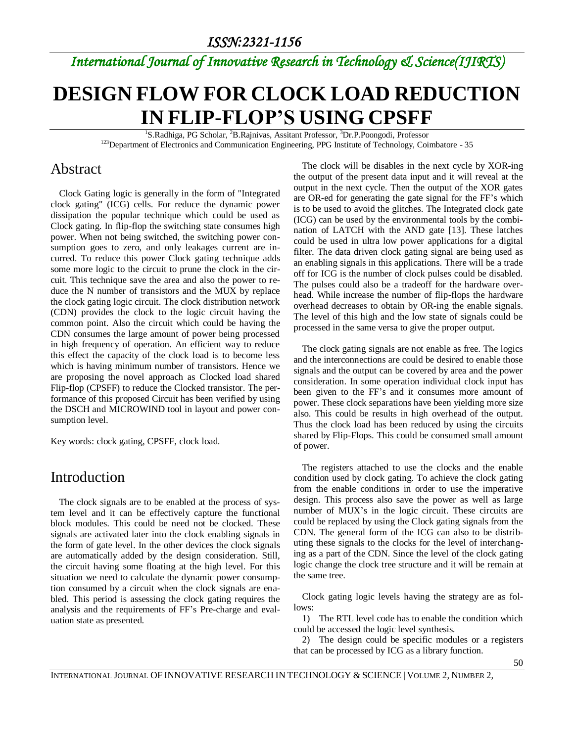## *International Journal of Innovative Research in Technology & Science(IJIRTS)*

# **DESIGN FLOW FOR CLOCK LOAD REDUCTION IN FLIP-FLOP'S USING CPSFF**

<sup>1</sup>S.Radhiga, PG Scholar, <sup>2</sup>B.Rajnivas, Assitant Professor, <sup>3</sup>Dr.P.Poongodi, Professor <sup>123</sup>Department of Electronics and Communication Engineering, PPG Institute of Technology, Coimbatore - 35

#### Abstract

Clock Gating logic is generally in the form of "Integrated clock gating" (ICG) cells. For reduce the dynamic power dissipation the popular technique which could be used as Clock gating. In flip-flop the switching state consumes high power. When not being switched, the switching power consumption goes to zero, and only leakages current are incurred. To reduce this power Clock gating technique adds some more logic to the circuit to prune the clock in the circuit. This technique save the area and also the power to reduce the N number of transistors and the MUX by replace the clock gating logic circuit. The clock distribution network (CDN) provides the clock to the logic circuit having the common point. Also the circuit which could be having the CDN consumes the large amount of power being processed in high frequency of operation. An efficient way to reduce this effect the capacity of the clock load is to become less which is having minimum number of transistors. Hence we are proposing the novel approach as Clocked load shared Flip-flop (CPSFF) to reduce the Clocked transistor. The performance of this proposed Circuit has been verified by using the DSCH and MICROWIND tool in layout and power consumption level.

Key words: clock gating, CPSFF, clock load.

#### Introduction

The clock signals are to be enabled at the process of system level and it can be effectively capture the functional block modules. This could be need not be clocked. These signals are activated later into the clock enabling signals in the form of gate level. In the other devices the clock signals are automatically added by the design consideration. Still, the circuit having some floating at the high level. For this situation we need to calculate the dynamic power consumption consumed by a circuit when the clock signals are enabled. This period is assessing the clock gating requires the analysis and the requirements of FF's Pre-charge and evaluation state as presented.

The clock will be disables in the next cycle by XOR-ing the output of the present data input and it will reveal at the output in the next cycle. Then the output of the XOR gates are OR-ed for generating the gate signal for the FF's which is to be used to avoid the glitches. The Integrated clock gate (ICG) can be used by the environmental tools by the combination of LATCH with the AND gate [13]. These latches could be used in ultra low power applications for a digital filter. The data driven clock gating signal are being used as an enabling signals in this applications. There will be a trade off for ICG is the number of clock pulses could be disabled. The pulses could also be a tradeoff for the hardware overhead. While increase the number of flip-flops the hardware overhead decreases to obtain by OR-ing the enable signals. The level of this high and the low state of signals could be processed in the same versa to give the proper output.

The clock gating signals are not enable as free. The logics and the interconnections are could be desired to enable those signals and the output can be covered by area and the power consideration. In some operation individual clock input has been given to the FF's and it consumes more amount of power. These clock separations have been yielding more size also. This could be results in high overhead of the output. Thus the clock load has been reduced by using the circuits shared by Flip-Flops. This could be consumed small amount of power.

The registers attached to use the clocks and the enable condition used by clock gating. To achieve the clock gating from the enable conditions in order to use the imperative design. This process also save the power as well as large number of MUX's in the logic circuit. These circuits are could be replaced by using the Clock gating signals from the CDN. The general form of the ICG can also to be distributing these signals to the clocks for the level of interchanging as a part of the CDN. Since the level of the clock gating logic change the clock tree structure and it will be remain at the same tree.

Clock gating logic levels having the strategy are as follows:

1) The RTL level code has to enable the condition which could be accessed the logic level synthesis.

2) The design could be specific modules or a registers that can be processed by ICG as a library function.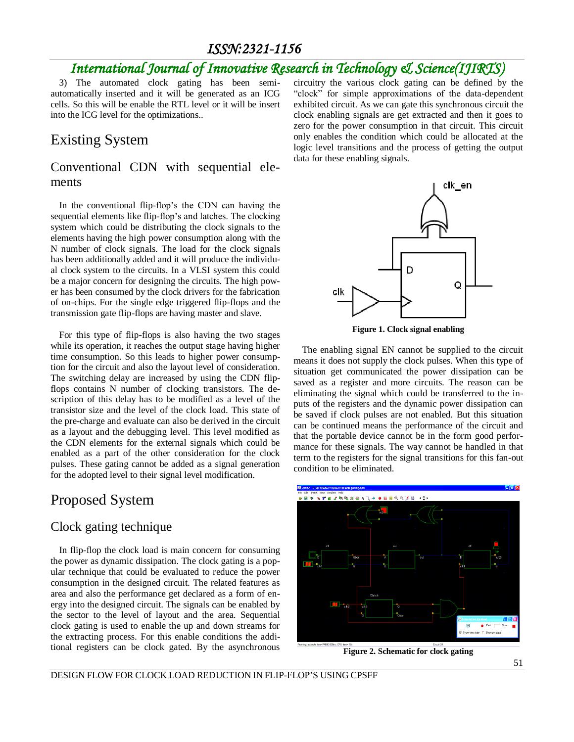### *International Journal of Innovative Research in Technology & Science(IJIRTS)*

3) The automated clock gating has been semiautomatically inserted and it will be generated as an ICG cells. So this will be enable the RTL level or it will be insert into the ICG level for the optimizations..

### Existing System

#### Conventional CDN with sequential elements

In the conventional flip-flop's the CDN can having the sequential elements like flip-flop's and latches. The clocking system which could be distributing the clock signals to the elements having the high power consumption along with the N number of clock signals. The load for the clock signals has been additionally added and it will produce the individual clock system to the circuits. In a VLSI system this could be a major concern for designing the circuits. The high power has been consumed by the clock drivers for the fabrication of on-chips. For the single edge triggered flip-flops and the transmission gate flip-flops are having master and slave.

For this type of flip-flops is also having the two stages while its operation, it reaches the output stage having higher time consumption. So this leads to higher power consumption for the circuit and also the layout level of consideration. The switching delay are increased by using the CDN flipflops contains N number of clocking transistors. The description of this delay has to be modified as a level of the transistor size and the level of the clock load. This state of the pre-charge and evaluate can also be derived in the circuit as a layout and the debugging level. This level modified as the CDN elements for the external signals which could be enabled as a part of the other consideration for the clock pulses. These gating cannot be added as a signal generation for the adopted level to their signal level modification.

#### Proposed System

#### Clock gating technique

In flip-flop the clock load is main concern for consuming the power as dynamic dissipation. The clock gating is a popular technique that could be evaluated to reduce the power consumption in the designed circuit. The related features as area and also the performance get declared as a form of energy into the designed circuit. The signals can be enabled by the sector to the level of layout and the area. Sequential clock gating is used to enable the up and down streams for the extracting process. For this enable conditions the additional registers can be clock gated. By the asynchronous

circuitry the various clock gating can be defined by the "clock" for simple approximations of the data-dependent exhibited circuit. As we can gate this synchronous circuit the clock enabling signals are get extracted and then it goes to zero for the power consumption in that circuit. This circuit only enables the condition which could be allocated at the logic level transitions and the process of getting the output data for these enabling signals.



**Figure 1. Clock signal enabling**

The enabling signal EN cannot be supplied to the circuit means it does not supply the clock pulses. When this type of situation get communicated the power dissipation can be saved as a register and more circuits. The reason can be eliminating the signal which could be transferred to the inputs of the registers and the dynamic power dissipation can be saved if clock pulses are not enabled. But this situation can be continued means the performance of the circuit and that the portable device cannot be in the form good performance for these signals. The way cannot be handled in that term to the registers for the signal transitions for this fan-out condition to be eliminated.



**Figure 2. Schematic for clock gating**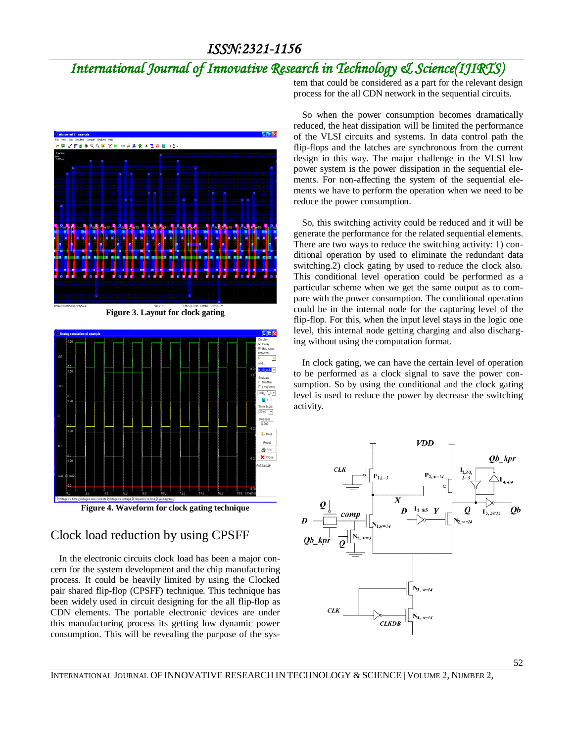## *International Journal of Innovative Research in Technology & Science(IJIRTS)*









#### Clock load reduction by using CPSFF

In the electronic circuits clock load has been a major concern for the system development and the chip manufacturing process. It could be heavily limited by using the Clocked pair shared flip-flop (CPSFF) technique. This technique has been widely used in circuit designing for the all flip-flop as CDN elements. The portable electronic devices are under this manufacturing process its getting low dynamic power consumption. This will be revealing the purpose of the system that could be considered as a part for the relevant design process for the all CDN network in the sequential circuits.

So when the power consumption becomes dramatically reduced, the heat dissipation will be limited the performance of the VLSI circuits and systems. In data control path the flip-flops and the latches are synchronous from the current design in this way. The major challenge in the VLSI low power system is the power dissipation in the sequential elements. For non-affecting the system of the sequential elements we have to perform the operation when we need to be reduce the power consumption.

So, this switching activity could be reduced and it will be generate the performance for the related sequential elements. There are two ways to reduce the switching activity: 1) conditional operation by used to eliminate the redundant data switching.2) clock gating by used to reduce the clock also. This conditional level operation could be performed as a particular scheme when we get the same output as to compare with the power consumption. The conditional operation could be in the internal node for the capturing level of the flip-flop. For this, when the input level stays in the logic one level, this internal node getting charging and also discharging without using the computation format.

In clock gating, we can have the certain level of operation to be performed as a clock signal to save the power consumption. So by using the conditional and the clock gating level is used to reduce the power by decrease the switching activity.



INTERNATIONAL JOURNAL OF INNOVATIVE RESEARCH IN TECHNOLOGY & SCIENCE | VOLUME 2, NUMBER 2,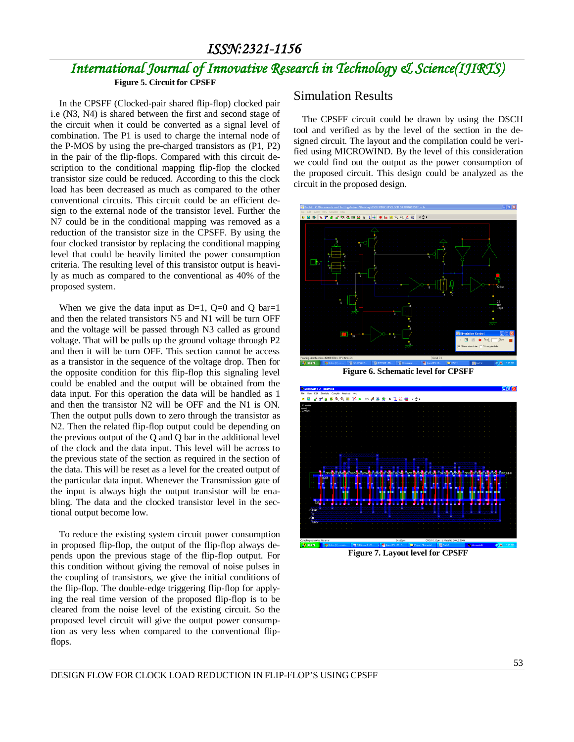## *International Journal of Innovative Research in Technology & Science(IJIRTS)*

**Figure 5. Circuit for CPSFF**

In the CPSFF (Clocked-pair shared flip-flop) clocked pair i.e (N3, N4) is shared between the first and second stage of the circuit when it could be converted as a signal level of combination. The P1 is used to charge the internal node of the P-MOS by using the pre-charged transistors as (P1, P2) in the pair of the flip-flops. Compared with this circuit description to the conditional mapping flip-flop the clocked transistor size could be reduced. According to this the clock load has been decreased as much as compared to the other conventional circuits. This circuit could be an efficient design to the external node of the transistor level. Further the N7 could be in the conditional mapping was removed as a reduction of the transistor size in the CPSFF. By using the four clocked transistor by replacing the conditional mapping level that could be heavily limited the power consumption criteria. The resulting level of this transistor output is heavily as much as compared to the conventional as 40% of the proposed system.

When we give the data input as  $D=1$ ,  $Q=0$  and Q bar=1 and then the related transistors N5 and N1 will be turn OFF and the voltage will be passed through N3 called as ground voltage. That will be pulls up the ground voltage through P2 and then it will be turn OFF. This section cannot be access as a transistor in the sequence of the voltage drop. Then for the opposite condition for this flip-flop this signaling level could be enabled and the output will be obtained from the data input. For this operation the data will be handled as 1 and then the transistor N2 will be OFF and the N1 is ON. Then the output pulls down to zero through the transistor as N2. Then the related flip-flop output could be depending on the previous output of the Q and Q bar in the additional level of the clock and the data input. This level will be across to the previous state of the section as required in the section of the data. This will be reset as a level for the created output of the particular data input. Whenever the Transmission gate of the input is always high the output transistor will be enabling. The data and the clocked transistor level in the sectional output become low.

To reduce the existing system circuit power consumption in proposed flip-flop, the output of the flip-flop always depends upon the previous stage of the flip-flop output. For this condition without giving the removal of noise pulses in the coupling of transistors, we give the initial conditions of the flip-flop. The double-edge triggering flip-flop for applying the real time version of the proposed flip-flop is to be cleared from the noise level of the existing circuit. So the proposed level circuit will give the output power consumption as very less when compared to the conventional flipflops.

#### Simulation Results

The CPSFF circuit could be drawn by using the DSCH tool and verified as by the level of the section in the designed circuit. The layout and the compilation could be verified using MICROWIND. By the level of this consideration we could find out the output as the power consumption of the proposed circuit. This design could be analyzed as the circuit in the proposed design.



**Figure 6. Schematic level for CPSFF**



**Figure 7. Layout level for CPSFF**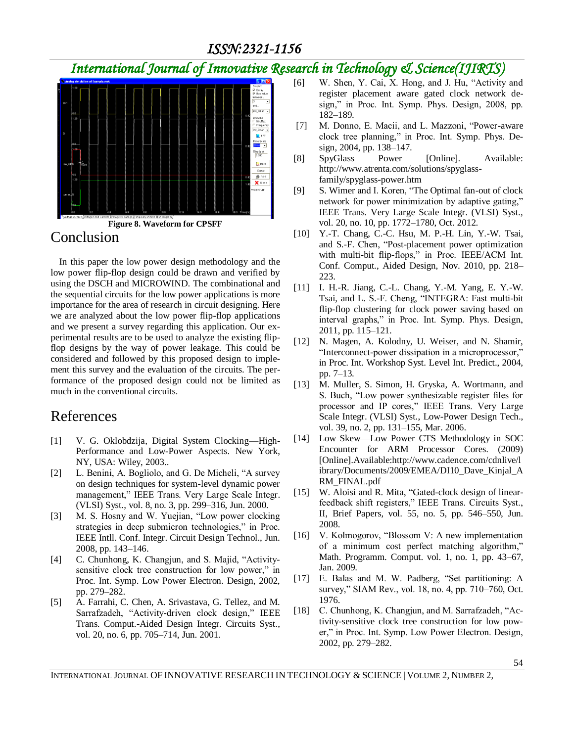## *International Journal of Innovative Research in Technology & Science(IJIRTS)*



### Conclusion

In this paper the low power design methodology and the low power flip-flop design could be drawn and verified by using the DSCH and MICROWIND. The combinational and the sequential circuits for the low power applications is more importance for the area of research in circuit designing. Here we are analyzed about the low power flip-flop applications and we present a survey regarding this application. Our experimental results are to be used to analyze the existing flipflop designs by the way of power leakage. This could be considered and followed by this proposed design to implement this survey and the evaluation of the circuits. The performance of the proposed design could not be limited as much in the conventional circuits.

#### References

- [1] V. G. Oklobdzija, Digital System Clocking—High-Performance and Low-Power Aspects. New York, NY, USA: Wiley, 2003..
- [2] L. Benini, A. Bogliolo, and G. De Micheli, "A survey on design techniques for system-level dynamic power management," IEEE Trans. Very Large Scale Integr. (VLSI) Syst., vol. 8, no. 3, pp. 299–316, Jun. 2000.
- [3] M. S. Hosny and W. Yuejian, "Low power clocking strategies in deep submicron technologies," in Proc. IEEE Intll. Conf. Integr. Circuit Design Technol., Jun. 2008, pp. 143–146.
- [4] C. Chunhong, K. Changjun, and S. Majid, "Activitysensitive clock tree construction for low power," in Proc. Int. Symp. Low Power Electron. Design, 2002, pp. 279–282.
- [5] A. Farrahi, C. Chen, A. Srivastava, G. Tellez, and M. Sarrafzadeh, "Activity-driven clock design," IEEE Trans. Comput.-Aided Design Integr. Circuits Syst., vol. 20, no. 6, pp. 705–714, Jun. 2001.
- [6] W. Shen, Y. Cai, X. Hong, and J. Hu, "Activity and register placement aware gated clock network design," in Proc. Int. Symp. Phys. Design, 2008, pp. 182–189.
- [7] M. Donno, E. Macii, and L. Mazzoni, "Power-aware clock tree planning," in Proc. Int. Symp. Phys. Design, 2004, pp. 138–147.
- [8] SpyGlass Power [Online]. Available: http://www.atrenta.com/solutions/spyglassfamily/spyglass-power.htm
- [9] S. Wimer and I. Koren, "The Optimal fan-out of clock network for power minimization by adaptive gating," IEEE Trans. Very Large Scale Integr. (VLSI) Syst., vol. 20, no. 10, pp. 1772–1780, Oct. 2012.
- [10] Y.-T. Chang, C.-C. Hsu, M. P.-H. Lin, Y.-W. Tsai, and S.-F. Chen, "Post-placement power optimization with multi-bit flip-flops," in Proc. IEEE/ACM Int. Conf. Comput., Aided Design, Nov. 2010, pp. 218– 223.
- [11] I. H.-R. Jiang, C.-L. Chang, Y.-M. Yang, E. Y.-W. Tsai, and L. S.-F. Cheng, "INTEGRA: Fast multi-bit flip-flop clustering for clock power saving based on interval graphs," in Proc. Int. Symp. Phys. Design, 2011, pp. 115–121.
- [12] N. Magen, A. Kolodny, U. Weiser, and N. Shamir, "Interconnect-power dissipation in a microprocessor," in Proc. Int. Workshop Syst. Level Int. Predict., 2004, pp. 7–13.
- [13] M. Muller, S. Simon, H. Gryska, A. Wortmann, and S. Buch, "Low power synthesizable register files for processor and IP cores," IEEE Trans. Very Large Scale Integr. (VLSI) Syst., Low-Power Design Tech., vol. 39, no. 2, pp. 131–155, Mar. 2006.
- [14] Low Skew—Low Power CTS Methodology in SOC Encounter for ARM Processor Cores. (2009) [Online].Available:http://www.cadence.com/cdnlive/l ibrary/Documents/2009/EMEA/DI10\_Dave\_Kinjal\_A RM\_FINAL.pdf
- [15] W. Aloisi and R. Mita, "Gated-clock design of linearfeedback shift registers," IEEE Trans. Circuits Syst., II, Brief Papers, vol. 55, no. 5, pp. 546–550, Jun. 2008.
- [16] V. Kolmogorov, "Blossom V: A new implementation of a minimum cost perfect matching algorithm," Math. Programm. Comput. vol. 1, no. 1, pp. 43–67, Jan. 2009.
- [17] E. Balas and M. W. Padberg, "Set partitioning: A survey," SIAM Rev., vol. 18, no. 4, pp. 710–760, Oct. 1976.
- [18] C. Chunhong, K. Changjun, and M. Sarrafzadeh, "Activity-sensitive clock tree construction for low power," in Proc. Int. Symp. Low Power Electron. Design, 2002, pp. 279–282.